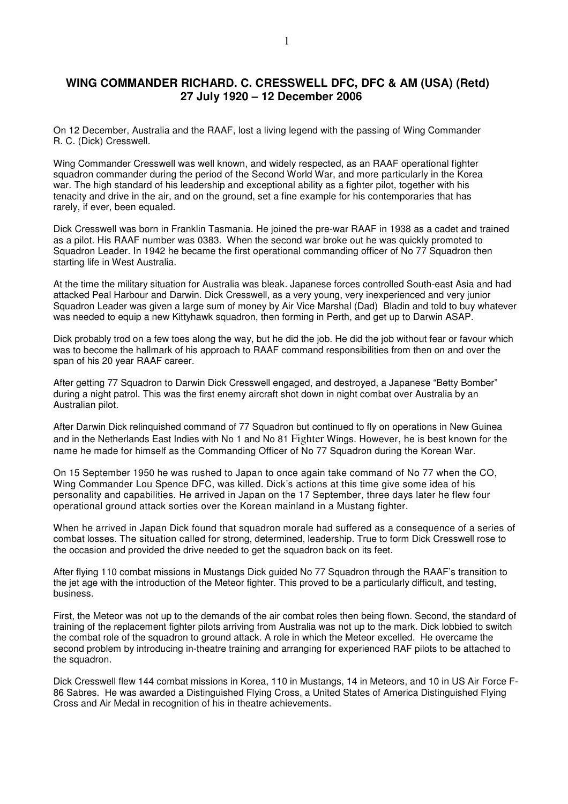## **WING COMMANDER RICHARD. C. CRESSWELL DFC, DFC & AM (USA) (Retd) 27 July 1920 – 12 December 2006**

On 12 December, Australia and the RAAF, lost a living legend with the passing of Wing Commander R. C. (Dick) Cresswell.

Wing Commander Cresswell was well known, and widely respected, as an RAAF operational fighter squadron commander during the period of the Second World War, and more particularly in the Korea war. The high standard of his leadership and exceptional ability as a fighter pilot, together with his tenacity and drive in the air, and on the ground, set a fine example for his contemporaries that has rarely, if ever, been equaled.

Dick Cresswell was born in Franklin Tasmania. He joined the pre-war RAAF in 1938 as a cadet and trained as a pilot. His RAAF number was 0383. When the second war broke out he was quickly promoted to Squadron Leader. In 1942 he became the first operational commanding officer of No 77 Squadron then starting life in West Australia.

At the time the military situation for Australia was bleak. Japanese forces controlled South-east Asia and had attacked Peal Harbour and Darwin. Dick Cresswell, as a very young, very inexperienced and very junior Squadron Leader was given a large sum of money by Air Vice Marshal (Dad) Bladin and told to buy whatever was needed to equip a new Kittyhawk squadron, then forming in Perth, and get up to Darwin ASAP.

Dick probably trod on a few toes along the way, but he did the job. He did the job without fear or favour which was to become the hallmark of his approach to RAAF command responsibilities from then on and over the span of his 20 year RAAF career.

After getting 77 Squadron to Darwin Dick Cresswell engaged, and destroyed, a Japanese "Betty Bomber" during a night patrol. This was the first enemy aircraft shot down in night combat over Australia by an Australian pilot.

After Darwin Dick relinquished command of 77 Squadron but continued to fly on operations in New Guinea and in the Netherlands East Indies with No 1 and No 81 Fighter Wings. However, he is best known for the name he made for himself as the Commanding Officer of No 77 Squadron during the Korean War.

On 15 September 1950 he was rushed to Japan to once again take command of No 77 when the CO, Wing Commander Lou Spence DFC, was killed. Dick's actions at this time give some idea of his personality and capabilities. He arrived in Japan on the 17 September, three days later he flew four operational ground attack sorties over the Korean mainland in a Mustang fighter.

When he arrived in Japan Dick found that squadron morale had suffered as a consequence of a series of combat losses. The situation called for strong, determined, leadership. True to form Dick Cresswell rose to the occasion and provided the drive needed to get the squadron back on its feet.

After flying 110 combat missions in Mustangs Dick guided No 77 Squadron through the RAAF's transition to the jet age with the introduction of the Meteor fighter. This proved to be a particularly difficult, and testing, business.

First, the Meteor was not up to the demands of the air combat roles then being flown. Second, the standard of training of the replacement fighter pilots arriving from Australia was not up to the mark. Dick lobbied to switch the combat role of the squadron to ground attack. A role in which the Meteor excelled. He overcame the second problem by introducing in-theatre training and arranging for experienced RAF pilots to be attached to the squadron.

Dick Cresswell flew 144 combat missions in Korea, 110 in Mustangs, 14 in Meteors, and 10 in US Air Force F-86 Sabres. He was awarded a Distinguished Flying Cross, a United States of America Distinguished Flying Cross and Air Medal in recognition of his in theatre achievements.